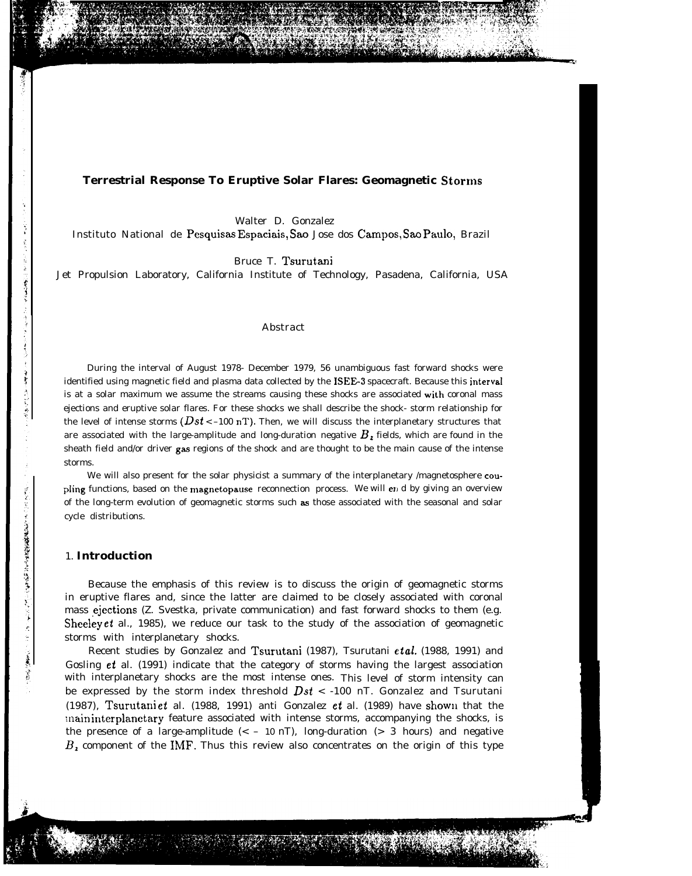#### **Terrestrial Response To Eruptive Solar Flares: Geomagnetic Storms**

Walter D. Gonzalez

Instituto National de Pesquisas Espaciais, Sao Jose dos Campos, Sao Paulo, Brazil

Bruce T. Tsurutani

Jet Propulsion Laboratory, California Institute of Technology, Pasadena, California, USA

#### Abstract

During the interval of August 1978- December 1979, 56 unambiguous fast forward shocks were identified using magnetic field and plasma data collected by the ISEE-3 spacecraft. Because this interval is at a solar maximum we assume the streams causing these shocks are associated with coronal mass ejections and eruptive solar flares. For these shocks we shall describe the shock- storm relationship for the level of intense storms ( $Dst < -100$  nT). Then, we will discuss the interplanetary structures that are associated with the large-amplitude and long-duration negative  $B<sub>z</sub>$  fields, which are found in the sheath field and/or driver gas regions of the shock and are thought to be the main cause of the intense storms.

We will also present for the solar physicist a summary of the interplanetary /magnetosphere coupling functions, based on the magnetopause reconnection process. We will end by giving an overview of the long-term evolution of geomagnetic storms such as those associated with the seasonal and solar cycle distributions.

#### 1. **Introduction**

Because the emphasis of this review is to discuss the origin of geomagnetic storms in eruptive flares and, since the latter are claimed to be closely associated with coronal mass ejections (Z. Svestka, private communication) and fast forward shocks to them (e.g. Sheeley et al., 1985), we reduce our task to the study of the association of geomagnetic storms with interplanetary shocks.

Recent studies by Gonzalez and Tsurutani (1987), Tsurutani et al. (1988, 1991) and Gosling et al. (1991) indicate that the category of storms having the largest association with interplanetary shocks are the most intense ones. This level of storm intensity can be expressed by the storm index threshold  $Dst < -100$  nT. Gonzalez and Tsurutani (1987), Tsurutani et al. (1988, 1991) anti Gonzalez et al. (1989) have shown that the inain interplanetary feature associated with intense storms, accompanying the shocks, is the presence of a large-amplitude  $\left( < -10 \text{ nT} \right)$ , long-duration  $\left( > 3 \text{ hours} \right)$  and negative  $B<sub>z</sub>$  component of the IMF. Thus this review also concentrates on the origin of this type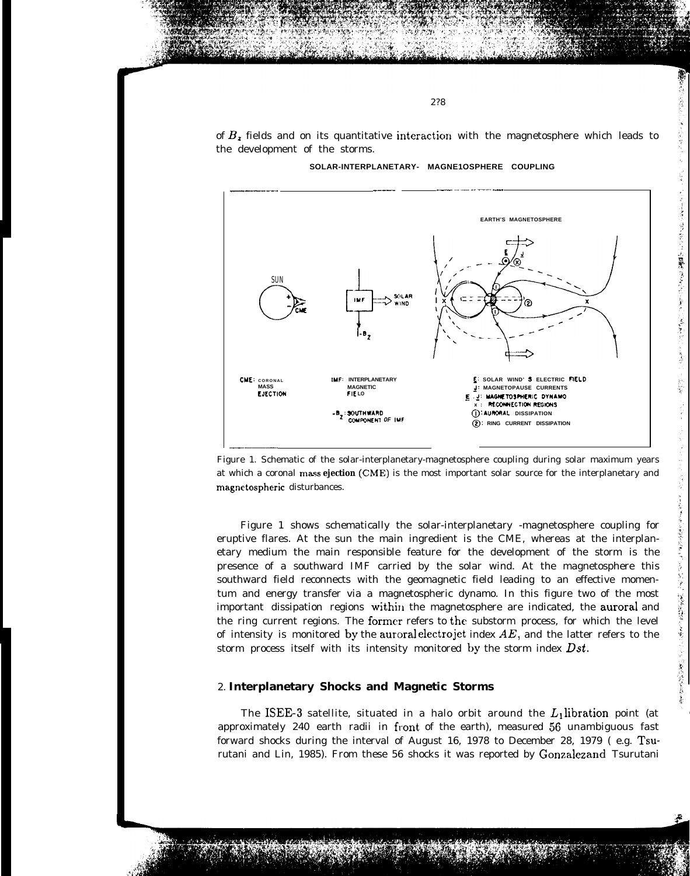of  $B<sub>z</sub>$  fields and on its quantitative interaction with the magnetosphere which leads to the development of the storms.

2?8



SOLAR-INTERPLANETARY- MAGNE1OSPHERE COUPLING

Figure 1. Schematic of the solar-interplanetary-magnetosphere coupling during solar maximum years at which a coronal mass ejection (CME) is the most important solar source for the interplanetary and magnetospheric disturbances.

Figure 1 shows schematically the solar-interplanetary -magnetosphere coupling for eruptive flares. At the sun the main ingredient is the CME, whereas at the interplanetary medium the main responsible feature for the development of the storm is the presence of a southward IMF carried by the solar wind. At the magnetosphere this southward field reconnects with the geomagnetic field leading to an effective momentum and energy transfer via a magnetospheric dynamo. In this figure two of the most important dissipation regions within the magnetosphere are indicated, the auroral and the ring current regions. The former refers to the substorm process, for which the level of intensity is monitored by the auroral electrojet index  $AE$ , and the latter refers to the storm process itself with its intensity monitored by the storm index Dst.

## 2. Interplanetary Shocks and Magnetic Storms

The ISEE-3 satellite, situated in a halo orbit around the  $L_1$  libration point (at approximately 240 earth radii in front of the earth), measured 56 unambiguous fast forward shocks during the interval of August 16, 1978 to December 28, 1979 (e.g. Tsurutani and Lin, 1985). From these 56 shocks it was reported by Gonzalezand Tsurutani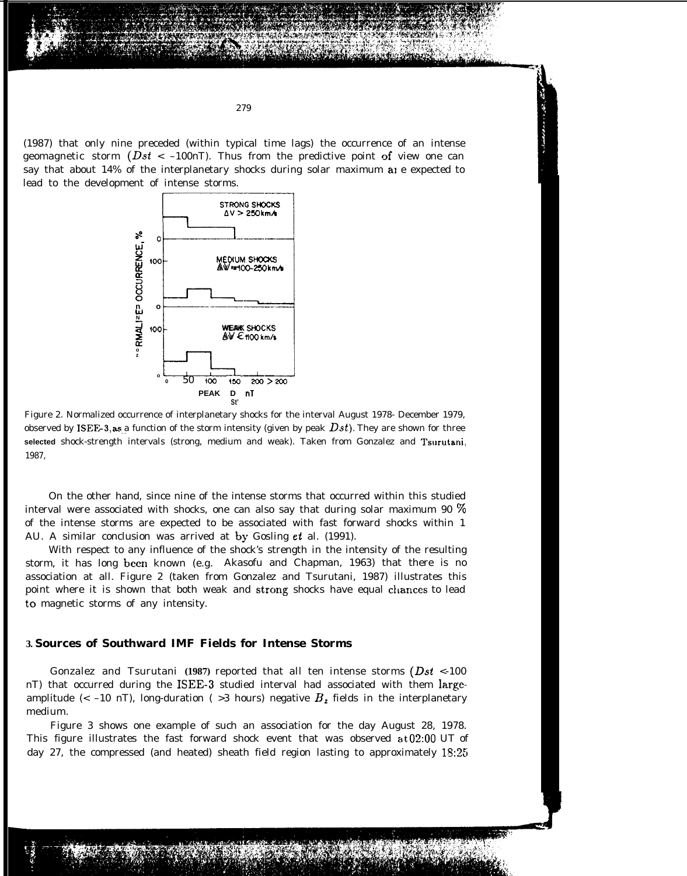(1987) that only nine preceded (within typical time lags) the occurrence of an intense geomagnetic storm ( $Dst < -100$ nT). Thus from the predictive point of view one can say that about 14% of the interplanetary shocks during solar maximum ale expected to lead to the development of intense storms.



Figure 2. Normalized occurrence of interplanetary shocks for the interval August 1978- December 1979, observed by ISEF<sub>c</sub>-3, as a function of the storm intensity (given by peak  $Dst$ ). They are shown for three **selected** shock-strength intervals (strong, medium and weak). Taken from Gonzalez and Tsarutani, 1987,

On the other hand, since nine of the intense storms that occurred within this studied interval were associated with shocks, one can also say that during solar maximum 90  $\%$ of the intense storms are expected to be associated with fast forward shocks within 1 AU. A similar conclusion was arrived at by Gosling et al. (1991).

With respect to any influence of the shock's strength in the intensity of the resulting storm, it has long been known (e.g. Akasofu and Chapman, 1963) that there is no association at all. Figure 2 (taken from Gonzalez and Tsurutani, 1987) illustrates this point where it is shown that both weak and strong shocks have equal chances to lead to magnetic storms of any intensity.

### **3. Sources of Southward IMF Fields for Intense Storms**

Gonzalez and Tsurutani **(1987)** reported that all ten intense storms (Dst <-100 nT) that occurred during the ISEE-3 studied interval had associated with them largeamplitude (< -10 nT), long-duration ( $>3$  hours) negative  $B<sub>z</sub>$  fields in the interplanetary medium.

Figure 3 shows one example of such an association for the day August 28, 1978. This figure illustrates the fast forward shock event that was observed at  $02:00$  UT of day 27, the compressed (and heated) sheath field region lasting to approximately 13:25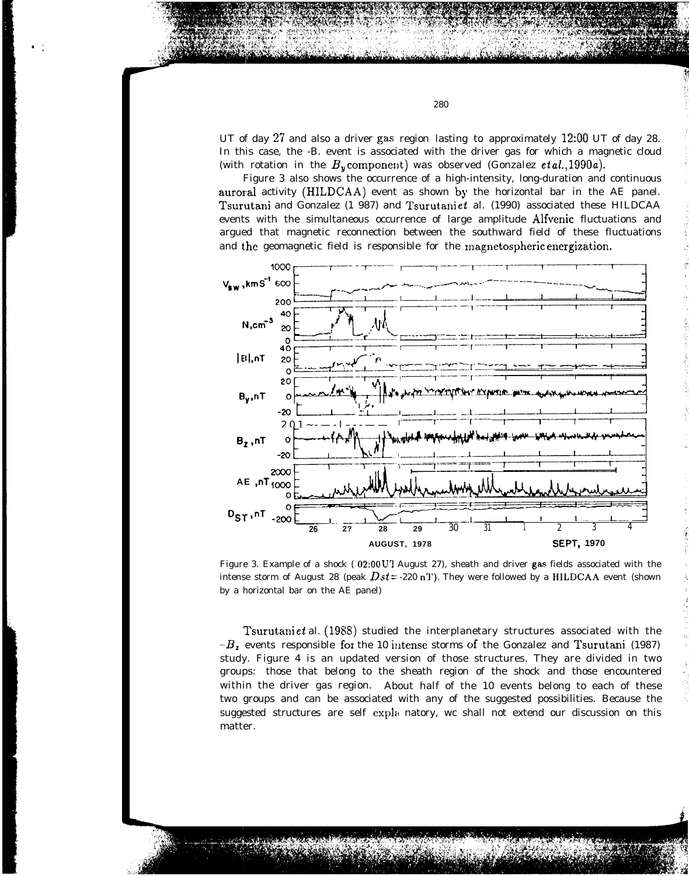UT of day 27 and also a driver gas region lasting to approximately 12:00 UT of day 28. In this case, the -B. event is associated with the driver gas for which a magnetic cloud (with rotation in the  $B_v$  component) was observed (Gonzalez *et al.*, 1990*a*).

Figure 3 also shows the occurrence of a high-intensity, long-duration and continuous auroral activity (HILDCAA) event as shown by the horizontal bar in the AE panel. Tsurutani and Gonzalez (1 987) and Tsurutani et al. (1990) associated these HILDCAA events with the simultaneous occurrence of large amplitude Alfvenic fluctuations and argued that magnetic reconnection between the southward field of these fluctuations



Figure 3. Example of a shock (02:00 U'I August 27), sheath and driver gas fields associated with the intense storm of August 28 (peak  $Dst = -220$  n<sup>T</sup>). They were followed by a HILDCAA event (shown by a horizontal bar on the AE panel)

Tsurutani et al.  $(1988)$  studied the interplanetary structures associated with the  $-B<sub>z</sub>$  events responsible for the 10 intense storms of the Gonzalez and Tsurutani (1987) study. Figure 4 is an updated version of those structures. They are divided in two groups: those that belong to the sheath region of the shock and those encountered within the driver gas region. About half of the 10 events belong to each of these two groups and can be associated with any of the suggested possibilities. Because the suggested structures are self expla natory, wc shall not extend our discussion on this matter.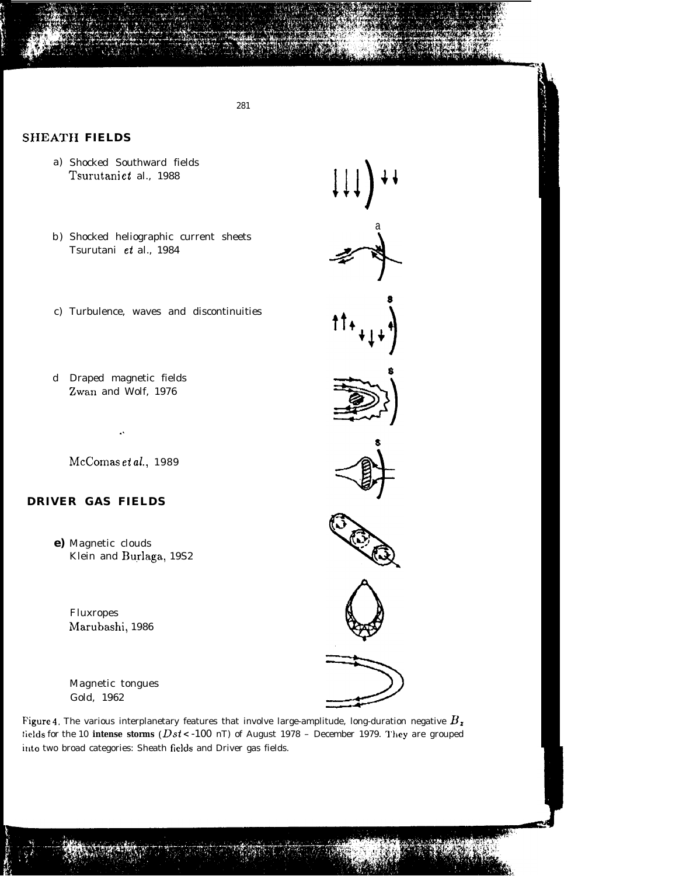281

## **SHEATH FIELDS**

- a) Shocked Southward fields Tsurutaniet al., 1988
- b) Shocked heliographic current sheets Tsurutani et al., 1984
- c) Turbulence, waves and discontinuities
- d Draped magnetic fields Zwan and Wolf, 1976

McComas et al., 1989

# **DRIVER GAS FIELDS**

e) Magnetic clouds Klein and Burlaga, 19S2

> **Fluxropes** Marubashi, 1986

Magnetic tongues Gold, 1962













Figure 4. The various interplanetary features that involve large-amplitude, long-duration negative  $B_x$ tields for the 10 intense storms ( $Dst$  < -100 nT) of August 1978 - December 1979. They are grouped into two broad categories: Sheath fields and Driver gas fields.



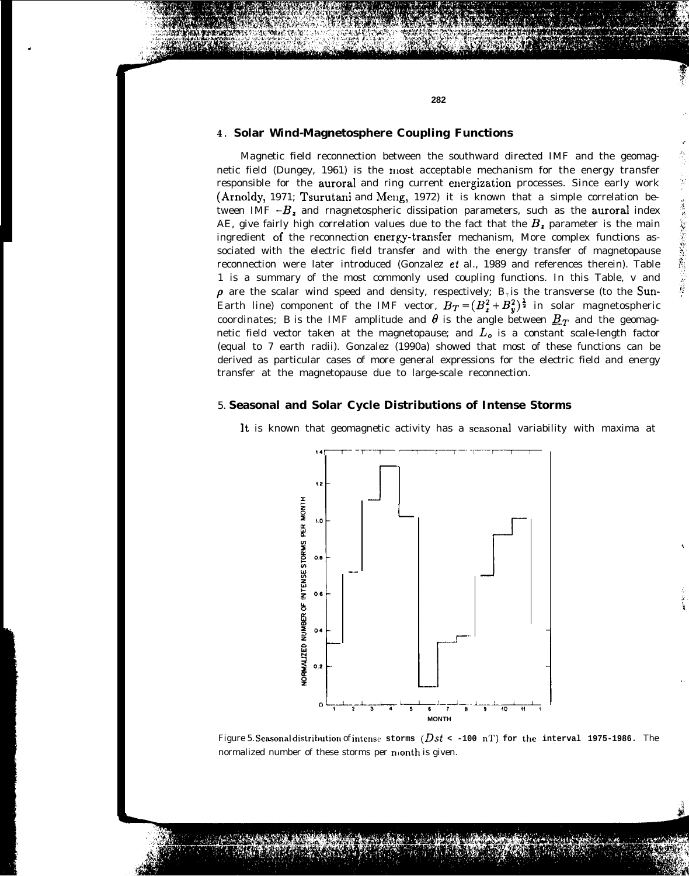#### **4 . Solar Wind-Magnetosphere Coupling Functions**

.

Magnetic field reconnection between the southward directed IMF and the geomagnetic field (Dungey, 1961) is the most acceptable mechanism for the energy transfer responsible for the auroral and ring current energization processes. Since early work (Arnoldy, 1971; Tsurutani and Meng, 1972) it is known that a simple correlation between IMF  $-B_z$  and rnagnetospheric dissipation parameters, such as the auroral index AE, give fairly high correlation values due to the fact that the  $B_z$  parameter is the main ingredient of the reconnection energy-transfer mechanism, More complex functions associated with the electric field transfer and with the energy transfer of magnetopause reconnection were later introduced (Gonzalez et al., 1989 and references therein). Table 1 is a summary of the most commonly used coupling functions. In this Table, v and  $\rho$  are the scalar wind speed and density, respectively;  $B<sub>r</sub>$  is the transverse (to the Sun-Earth line) component of the IMF vector,  $B_T = (B_x^2 + B_y^2)^{\frac{1}{2}}$  in solar magnetospheric coordinates; *B is* the IMF amplitude and  $\theta$  is the angle between  $\underline{B}_T$  and the geomagnetic field vector taken at the magnetopause; and  $L<sub>o</sub>$  is a constant scale-length factor (equal to 7 earth radii). Gonzalez (1990a) showed that most of these functions can be derived as particular cases of more general expressions for the electric field and energy transfer at the magnetopause due to large-scale reconnection.

#### 5. **Seasonal and Solar Cycle Distributions of Intense Storms**



Figure 5. Seasonal distribution of intense storms  $(Dst < -100 \text{ nT})$  for the interval 1975-1986. The normalized number of these storms per nionth is given.

. .

,

ある あいまい にっぽん あいまい にっぽん

,

,,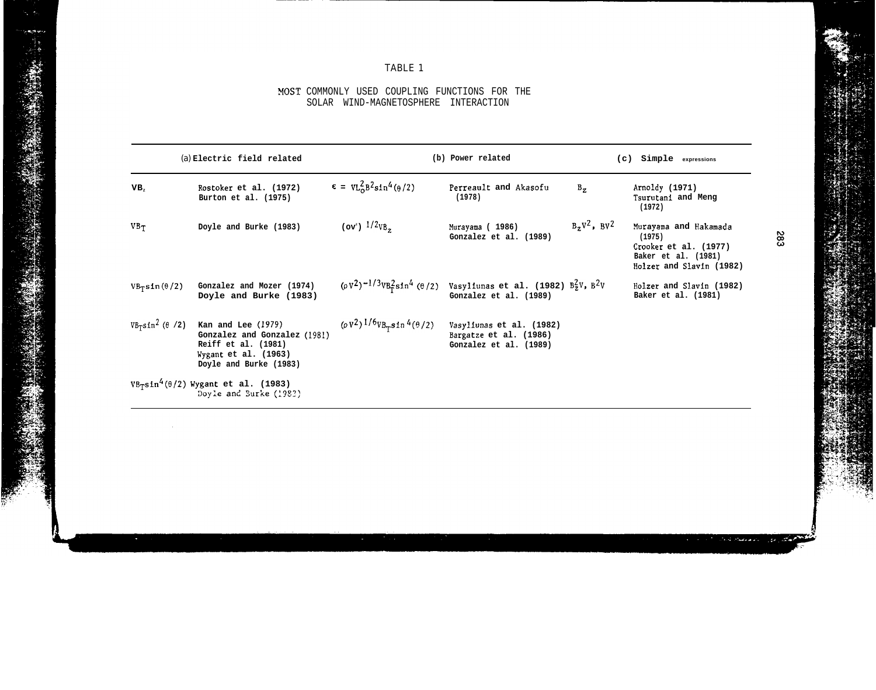# TABLE 1

### MOST COMMONLY USED COUPLING FUNCTIONS FOR THE SOLAR WIND-MAGNETOSPHERE INTERACTION

|                                                                        | (a) Electric field related                                                                                                    |                                                | (b) Power related                                                                                                    |                   | (c) Simple expressions                                                                                      |
|------------------------------------------------------------------------|-------------------------------------------------------------------------------------------------------------------------------|------------------------------------------------|----------------------------------------------------------------------------------------------------------------------|-------------------|-------------------------------------------------------------------------------------------------------------|
| VB,                                                                    | Rostoker et al. (1972)<br>Burton et al. (1975)                                                                                | $= \text{VL}_{0}^{2} B^{2} \sin^{4}(\theta/2)$ | Perreault and Akasofu<br>$B_{z}$<br>(1978)                                                                           |                   | Arnoldy (1971)<br>Tsurutani and Meng<br>(1972)                                                              |
| VB <sub>T</sub>                                                        | Doyle and Burke (1983)                                                                                                        | (ov <sup>e</sup> ) $1/2v_{B_z}$                | Murayama (1986)<br>Gonzalez et al. (1989)                                                                            | $B_zV^2$ , $BV^2$ | Murayama and Hakamada<br>(1975)<br>Crooker et al. (1977)<br>Baker et al. (1981)<br>Holzer and Slavin (1982) |
| $VB_{T}sin(\theta/2)$                                                  | Gonzalez and Mozer (1974)<br>Doyle and Burke (1983)                                                                           |                                                | $(\rho V^2)^{-1/3}VB_{r}^2 \sin^4 (\theta/2)$ Vasyliunas et al. (1982) $B_Z^2 V$ , $B^2 V$<br>Gonzalez et al. (1989) |                   | Holzer and Slavin (1982)<br>Baker et al. (1981)                                                             |
| $VB_T \text{sin}^2(\theta / 2)$                                        | Kan and Lee (1979)<br>Gonzalez and Gonzalez (1981)<br>Reiff et al. (1981)<br>Wygant et al. $(1963)$<br>Doyle and Burke (1983) | $(\rho V^2)^{1/6}VB_{T} \sin 4(\theta/2)$      | Vasyliunas et al. (1982)<br>Bargatze et al. (1986)<br>Gonzalez et al. (1989)                                         |                   |                                                                                                             |
| $VB_{T}sin^4(\theta/2)$ Wygant et al. (1983)<br>Dovle and Burke (1983) |                                                                                                                               |                                                |                                                                                                                      |                   |                                                                                                             |

283

بالاجتلاف لمالا

, i.e.,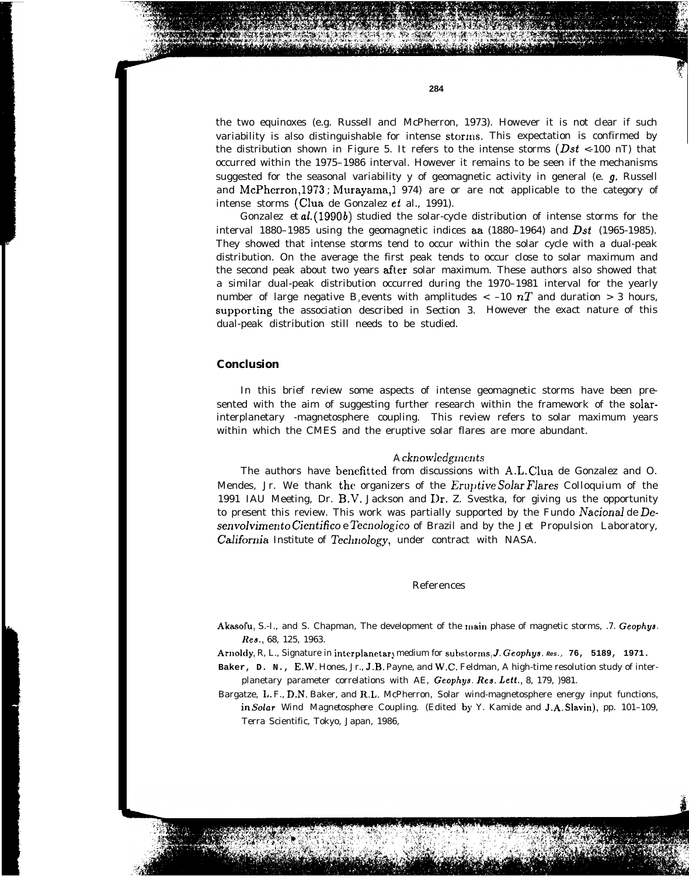the distribution shown in Figure 5. It refers to the intense storms  $(Dst < -100$  nT) that occurred within the 1975–1986 interval. However it remains to be seen if the mechanisms suggested for the seasonal variability y of geomagnetic activity in general (e.  $g$ . Russell and McPherron, 1973; Murayama, 1974) are or are not applicable to the category of intense storms (Clua de Gonzalez et al., 1991).

**284**

Gonzalez *et al.* (1990b) studied the solar-cycle distribution of intense storms for the interval 1880–1985 using the geomagnetic indices aa (1880–1964) and *Dst* (1965-1985). They showed that intense storms tend to occur within the solar cycle with a dual-peak distribution. On the average the first peak tends to occur close to solar maximum and the second peak about two years after solar maximum. These authors also showed that a similar dual-peak distribution occurred during the 1970–1981 interval for the yearly number of large negative *B*<sub>*z*</sub>events with amplitudes  $\lt$  -10  $nT$  and duration  $>$  3 hours, supporting the association described in Section 3. However the exact nature of this dual-peak distribution still needs to be studied.

## **Conclusion**

In this brief review some aspects of intense geomagnetic storms have been presented with the aim of suggesting further research within the framework of the solarinterplanetary -magnetosphere coupling. This review refers to solar maximum years within which the CMES and the eruptive solar flares are more abundant.

#### *A cknow]cdgmcnts*

The authors have benefltted from discussions with A.L. Clua de Gonzalez and O. Mendes, Jr. We thank the organizers of the *Eruptive Solar Flares Colloquium* of the 1991 IAU Meeting, Dr. B.V. Jackson and I)r. Z. Svestka, for giving us the opportunity to present this review. This work was partially supported by the *Fundo NacionaJ de Desenvolvirnento Cientifico e Tecnologico* of Brazil and by the *Jet Propulsion Laboratory,* California Institute of Technology, under contract with NASA.

#### References

Akasofu, S.-I., and S. Chapman, The development of the main phase of magnetic storms, .7. Geophys. **Res.,** 68, 125, 1963.

Arnoldy, R, L., Signature in interplanetary medium for substorms, J. Geophys. Res., 76, 5189, 1971.

**Baker, D. N.,** E.W. Hones, Jr., J.B. Payne, and W.C. Feldman, A high-time resolution study of interplanetary parameter correlations with AE, Geophys. **Res. Lett.,** 8, 179, )981.

Bargatze, L. F., D.N. Baker, and R.L. McPherron, Solar wind-magnetosphere energy input functions, in Soiar *Wind Magnetosphere Coupling.* (Edited by Y. Kamide and J.A. Slavin), pp. 101–109, Terra Scientific, Tokyo, Japan, 1986,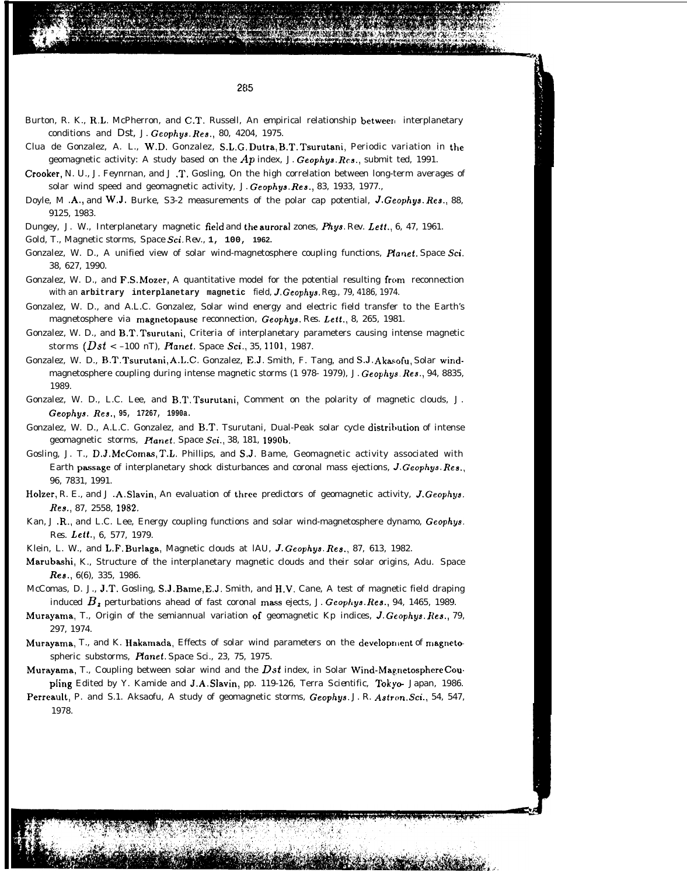Burton, R. K., R.L. McPherron, and C.T. Russell, An empirical relationship between interplanetary conditions and *Dst, J.* Geophy9. *Res.,* 80, 4204, 1975.

**I**

- Clua de Gonzalez, A. L., W.D. Gonzalez, S.L.G. Dutra, B.T. Tsurutani, Periodic variation in the geomagnetic activity: A study based on the *Ap* index, *J. Geophya. Rcs.,* submit ted, 1991.
- Crooker, N. U., J. Feynrnan, and J .T. Gosling, On the high correlation between long-term averages of solar wind speed and geomagnetic activity, *J. Geophys. Res.,* 83, 1933, 1977.,
- Doyle, M .A., and W.J. Burke, S3-2 measurements of the polar cap potential, J. Geophys. *Res., 88,* 9125, 1983.
- Dungey, J. W., Interplanetary magnetic field and the auroral zones, *Phys. Rev. Lett.*, 6, 47, 1961.
- Gold, T., Magnetic storms, *Space Sci. Rev.,* **1, 100, 1962.**
- Gonzalez, W. D., A unified view of solar wind-magnetosphere coupling functions, *Hanet. Space* Sci. 38, 627, 1990.
- Gonzalez, W. D., and F.S. Mozer, A quantitative model for the potential resulting from reconnection with an **arbitrary interplanetary magnetic** field, J. *Geophys. Reg.,* 79, 4186, 1974.
- Gonzalez, W. D., and A.L.C. Gonzalez, Solar wind energy and electric field transfer to the Earth's magnetosphere via magnetopause reconnection, *Geophys. Res. Lett.,* 8, 265, 1981.
- Gonzalez, W. D., and B.T. Tsurutani, Criteria of interplanetary parameters causing intense magnetic storms  $(Dst < -100 \text{ nT})$ , *Planet.* Space Sci., 35, 1101, 1987.
- Gonzalez, W. D., B.T. Tsurutani, A.L.C. Gonzalez, E.J. Smith, F. Tang, and S.J. Akasofu, Solar windmagnetosphere coupling during intense magnetic storms (1 978- 1979), *J. Geophys. Res.,* 94, 8835, 1989.
- Gonzalez, W. D., L.C. Lee, and B.T. Tsurutani, Comment on the polarity of magnetic clouds, *J. Geophys. Res.,* **95, 17267, 1990a.**
- Gonzalez, W. D., A.L.C. Gonzalez, and B.T. Tsurutani, Dual-Peak solar cycle distribution of intense geomagnetic storms, Ffanet. *Space* Sci., 38, 181, 1990b.
- Gosling, J. T., D.J. McComas, T.L. Phillips, and S.J. Bame, Geomagnetic activity associated with Earth psssage of interplanetary shock disturbances and coronal mass ejections, J. *Geophys. Res.,* 96, 7831, 1991.
- Holzer, R. E., and J .A. Slavin, An evaluation of three predictors of geomagnetic activity, J. Geophys. *Res., 87, 2558, 1982,*
- Kan, J .R., and L.C. Lee, Energy coupling functions and solar wind-magnetosphere dynamo, Geophys. *Res. Lett., 6, 577, 1979.*
- Klein, L. W., and L.F. Burlaga, Magnetic clouds at lAU, J. *Geophys. Res.,* 87, 613, 1982.
- Marubashi, K., Structure of the interplanetary magnetic clouds and their solar origins, *Adu. Space Res.,* 6(6), 335, 1986.
- McComas, D. J., J.T. Gosling, S.J. Bame, E.J. Smith, and H.V. Cane, A test of magnetic field draping induced  $B_z$  perturbations ahead of fast coronal mass ejects, *J. Geophys. Res.*, 94, 1465, 1989.
- Murayama, T., Origin of the semiannual variation ~f geomagnetic Kp indices, J. *Geophys. J/es.,* 79, 297, 1974.
- Murayama, T., and K. Hakamada, Effects of solar wind parameters on the development of magnetospheric substorms, Planet. Space Sci., 23, 75, 1975.
- Murayama, T., Coupling between solar wind and the Dst index, in Solar Wind-Magnetosphere Coupling Edited by Y. Kamide and J.A. **Slavin,** pp. 119-126, Terra *Scientific,* Tokye Japan, 1986.
- Perreault, P. and S.1. Aksaofu, A study of geomagnetic storms, *Geophys. J. R. Astron. Sci., 54, 547, 1978.*